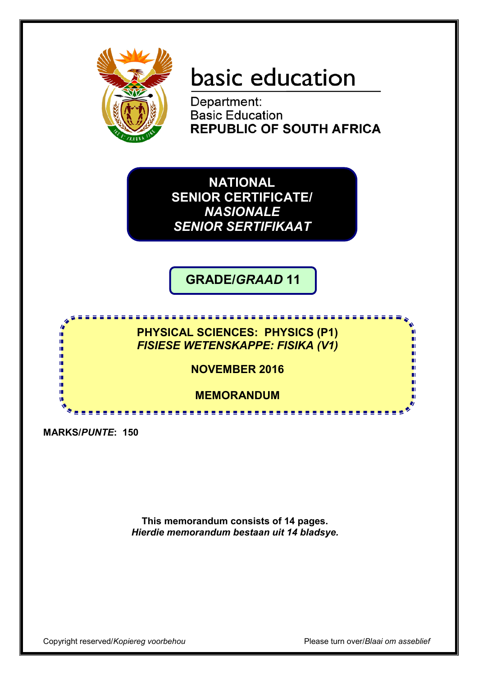

# basic education

Department: **Basic Education REPUBLIC OF SOUTH AFRICA** 

**NATIONAL SENIOR CERTIFICATE/** *NASIONALE SENIOR SERTIFIKAAT*

**GRADE/***GRAAD* **11**

<u>. . . . . . . . . . . . . . . .</u>

**PHYSICAL SCIENCES: PHYSICS (P1)** *FISIESE WETENSKAPPE: FISIKA (V1)*

**NOVEMBER 2016**

**MEMORANDUM**

<u>...............</u>

**MARKS/***PUNTE***: 150**

ıŕ ıŕ If. т т m m

> **This memorandum consists of 14 pages.** *Hierdie memorandum bestaan uit 14 bladsye.*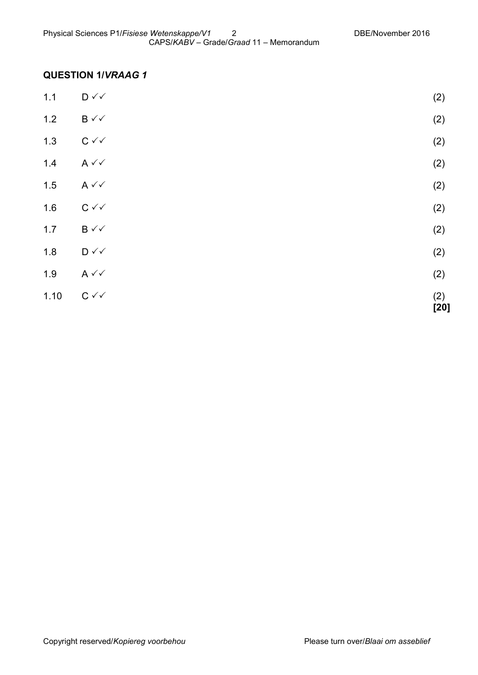## **QUESTION 1/***VRAAG 1*

| 1.10  | $C \curvearrowleft$                | (2)<br>$[20]$ |
|-------|------------------------------------|---------------|
| 1.9   | $A \vee C$                         | (2)           |
| 1.8   | $\mathsf{D} \mathsf{v} \mathsf{v}$ | (2)           |
| $1.7$ | $B \vee \vee$                      | (2)           |
| 1.6   | $C \vee C$                         | (2)           |
| 1.5   | $A \vee C$                         | (2)           |
| 1.4   | $A \vee C$                         | (2)           |
| 1.3   | $C \vee C$                         | (2)           |
| $1.2$ | $B \vee \vee$                      | (2)           |
| $1.1$ | $\mathsf{D} \curvearrowleft$       | (2)           |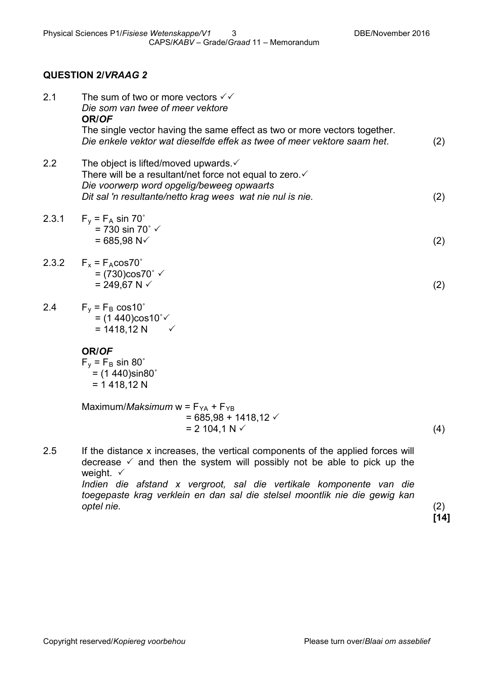#### **QUESTION 2/***VRAAG 2*

| 2.1   | The sum of two or more vectors $\checkmark\checkmark$<br>Die som van twee of meer vektore<br>OR/OF<br>The single vector having the same effect as two or more vectors together.<br>Die enkele vektor wat dieselfde effek as twee of meer vektore saam het.                                                                                         | (2) |
|-------|----------------------------------------------------------------------------------------------------------------------------------------------------------------------------------------------------------------------------------------------------------------------------------------------------------------------------------------------------|-----|
| 2.2   | The object is lifted/moved upwards $\checkmark$<br>There will be a resultant/net force not equal to zero. ✓<br>Die voorwerp word opgelig/beweeg opwaarts<br>Dit sal 'n resultante/netto krag wees wat nie nul is nie.                                                                                                                              | (2) |
| 2.3.1 | $F_v = F_A \sin 70^\circ$<br>= 730 sin 70 $\degree$ $\checkmark$<br>$= 685,98 N2$                                                                                                                                                                                                                                                                  | (2) |
| 2.3.2 | $F_x = F_A cos 70^\circ$<br>= $(730)$ cos70° √<br>= 249,67 N $\checkmark$                                                                                                                                                                                                                                                                          | (2) |
| 2.4   | $F_v = F_B \cos 10^\circ$<br>= $(1440) \cos 10^{\circ}$<br>$= 1418, 12 N$<br>$\checkmark$                                                                                                                                                                                                                                                          |     |
|       | OR/OF<br>$F_v = F_B \sin 80^\circ$<br>$=$ (1 440)sin80 $^{\circ}$<br>$= 1418,12 N$                                                                                                                                                                                                                                                                 |     |
|       | Maximum/ <i>Maksimum</i> w = $F_{YA}$ + $F_{YB}$<br>$= 685,98 + 1418,12 \checkmark$<br>$= 2104.1 N \checkmark$                                                                                                                                                                                                                                     | (4) |
| 2.5   | If the distance x increases, the vertical components of the applied forces will<br>decrease $\checkmark$ and then the system will possibly not be able to pick up the<br>weight. $\checkmark$<br>Indien die afstand x vergroot, sal die vertikale komponente van die<br>toegepaste krag verklein en dan sal die stelsel moontlik nie die gewig kan |     |

*optel nie.* (2) **[14]**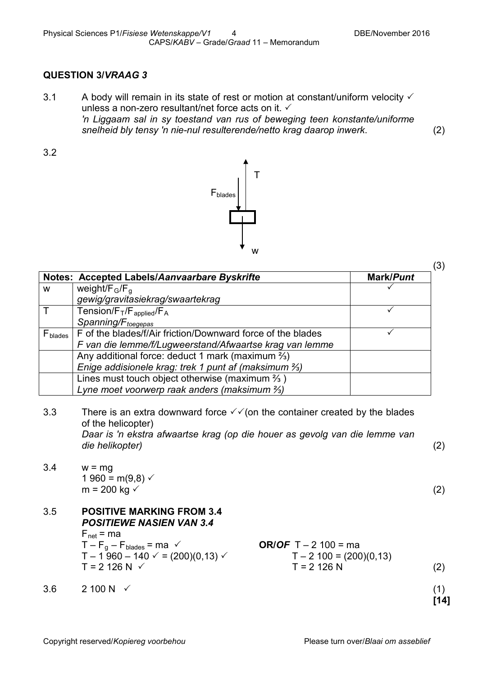(3)

## **QUESTION 3/***VRAAG 3*

3.1 A body will remain in its state of rest or motion at constant/uniform velocity  $\checkmark$ unless a non-zero resultant/net force acts on it. *'n Liggaam sal in sy toestand van rus of beweging teen konstante/uniforme snelheid bly tensy 'n nie-nul resulterende/netto krag daarop inwerk*. (2)

3.2



|                     | Notes: Accepted Labels/Aanvaarbare Byskrifte                                                                                                                                                                                 |                                                                            | Mark/Punt |             |
|---------------------|------------------------------------------------------------------------------------------------------------------------------------------------------------------------------------------------------------------------------|----------------------------------------------------------------------------|-----------|-------------|
| W                   | weight/ $F_G/F_{G}$                                                                                                                                                                                                          |                                                                            |           |             |
|                     | gewig/gravitasiekrag/swaartekrag                                                                                                                                                                                             |                                                                            |           |             |
| $\mathsf T$         | Tension/ $F_T/F_{\text{applied}}/F_A$                                                                                                                                                                                        |                                                                            | ✓         |             |
|                     | Spanning/F <sub>toegepas</sub>                                                                                                                                                                                               |                                                                            |           |             |
| F <sub>blades</sub> | F of the blades/f/Air friction/Downward force of the blades                                                                                                                                                                  |                                                                            | ✓         |             |
|                     | F van die lemme/f/Lugweerstand/Afwaartse krag van lemme                                                                                                                                                                      |                                                                            |           |             |
|                     | Any additional force: deduct 1 mark (maximum $\frac{2}{3}$ )                                                                                                                                                                 |                                                                            |           |             |
|                     | Enige addisionele krag: trek 1 punt af (maksimum %)                                                                                                                                                                          |                                                                            |           |             |
|                     | Lines must touch object otherwise (maximum $\frac{2}{3}$ )                                                                                                                                                                   |                                                                            |           |             |
|                     | Lyne moet voorwerp raak anders (maksimum %)                                                                                                                                                                                  |                                                                            |           |             |
| 3.3                 | There is an extra downward force $\checkmark$ (on the container created by the blades<br>of the helicopter)<br>Daar is 'n ekstra afwaartse krag (op die houer as gevolg van die lemme van<br>die helikopter)                 |                                                                            |           | (2)         |
| 3.4                 | $w = mg$<br>$1960 = m(9,8)$ $\checkmark$<br>m = 200 kg $\checkmark$                                                                                                                                                          |                                                                            |           | (2)         |
| 3.5                 | <b>POSITIVE MARKING FROM 3.4</b><br><b>POSITIEWE NASIEN VAN 3.4</b><br>$F_{\text{net}}$ = ma<br>$T - F_g - F_{blades} = ma \checkmark$<br>T – 1 960 – 140 $\checkmark$ = (200)(0,13) $\checkmark$<br>$T = 2126 N \checkmark$ | <b>OR/OF</b> $T - 2$ 100 = ma<br>$T - 2$ 100 = (200)(0,13)<br>$T = 2126 N$ |           | (2)         |
| 3.6                 | 2 100 N $\checkmark$                                                                                                                                                                                                         |                                                                            |           | (1)<br>[14] |
|                     |                                                                                                                                                                                                                              |                                                                            |           |             |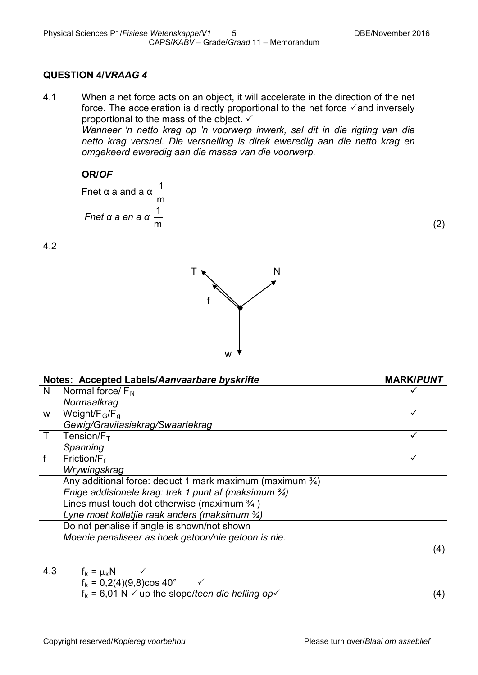#### **QUESTION 4/***VRAAG 4*

4.1 When a net force acts on an object, it will accelerate in the direction of the net force. The acceleration is directly proportional to the net force  $\checkmark$  and inversely proportional to the mass of the object.  $\checkmark$ 

> *Wanneer 'n netto krag op 'n voorwerp inwerk, sal dit in die rigting van die netto krag versnel. Die versnelling is direk eweredig aan die netto krag en omgekeerd eweredig aan die massa van die voorwerp.*

#### **OR/***OF*

Fnet α a and a α m 1 *Fnet α a en a α* m 1

4.2



|   | Notes: Accepted Labels/Aanvaarbare byskrifte                         | <b>MARK/PUNT</b>  |
|---|----------------------------------------------------------------------|-------------------|
| N | Normal force/ $F_N$                                                  |                   |
|   | Normaalkrag                                                          |                   |
| W | Weight/ $F_G/F_G$                                                    |                   |
|   | Gewig/Gravitasiekrag/Swaartekrag                                     |                   |
|   | Tension/ $F_T$                                                       |                   |
|   | Spanning                                                             |                   |
|   | Friction/ $F_f$                                                      |                   |
|   | Wrywingskrag                                                         |                   |
|   | Any additional force: deduct 1 mark maximum (maximum $\frac{3}{4}$ ) |                   |
|   | Enige addisionele krag: trek 1 punt af (maksimum 3/4)                |                   |
|   | Lines must touch dot otherwise (maximum $\frac{3}{4}$ )              |                   |
|   | Lyne moet kolletjie raak anders (maksimum $\frac{3}{4}$ )            |                   |
|   | Do not penalise if angle is shown/not shown                          |                   |
|   | Moenie penaliseer as hoek getoon/nie getoon is nie.                  |                   |
|   |                                                                      | $\left( 4\right)$ |

4.3  $f_k = \mu_k N$  $f_k = 0,2(4)(9,8) \cos 40^\circ$   $\checkmark$  $f_k = 6.01 \text{ N} \cdot \text{ up the slope/teen die helling op.}$  (4)

(2)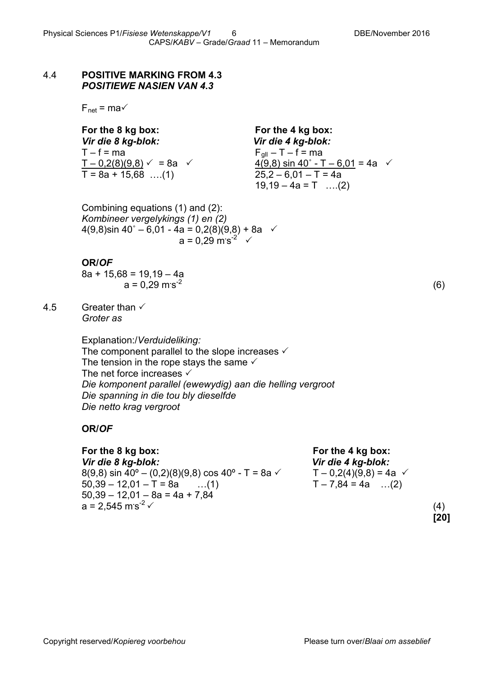#### 4.4 **POSITIVE MARKING FROM 4.3** *POSITIEWE NASIEN VAN 4.3*

 $F_{net} = ma \checkmark$ 

**For the 8 kg box: For the 4 kg box:** *Vir die 8 kg-blok: Vir die 4 kg-blok:*  $T - f = ma$ <br>  $T - 0.2(8)(9.8) \checkmark = 8a$   $\checkmark$  = 82  $\checkmark$  4(9.8) sin 40° - T  $T = 8a + 15,68$  ...(1)

<u>4(9,8) sin 40° - T – 6,01</u> = 4a  $\sqrt{25,2}$  – 6,01 – T = 4a  $19,19 - 4a = T$  ....(2)

Combining equations (1) and (2): *Kombineer vergelykings (1) en (2)*  $4(9,8)$ sin 40° – 6,01 - 4a = 0,2(8)(9,8) + 8a  $\checkmark$  $a = 0,29 \text{ m/s}^2$   $\checkmark$ 

#### **OR/***OF*

 $8a + 15.68 = 19.19 - 4a$ a = 0,29 m**.** s-2

4.5 Greater than  $\checkmark$ *Groter as*

> Explanation:/*Verduideliking:* The component parallel to the slope increases  $\checkmark$ The tension in the rope stays the same  $\checkmark$ The net force increases  $\checkmark$ *Die komponent parallel (ewewydig) aan die helling vergroot Die spanning in die tou bly dieselfde Die netto krag vergroot*

#### **OR/***OF*

**For the 8 kg box: For the 4 kg box:** *Vir die 8 kg-blok: Vir die 4 kg-blok:* 8(9,8) sin 40° – (0,2)(8)(9,8) cos 40° - T = 8a  $\checkmark$  T – 0,2(4)(9,8) = 4a  $\checkmark$  $50,39 - 12,01 - T = 8a$  ...(1)  $T - 7,84 = 4a$  ...(2)  $50,39 - 12,01 - 8a = 4a + 7,84$  $a = 2.545$  m s<sup>-2</sup>  $\checkmark$  $s^{2}$   $\times$  (4)

(6)

**[20]**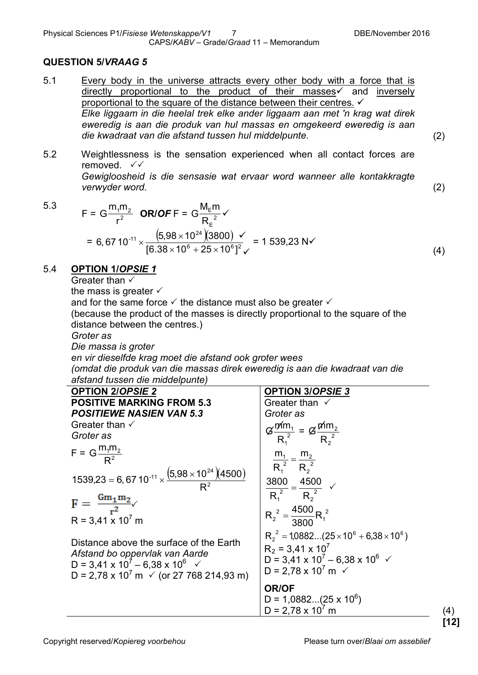#### **QUESTION 5/***VRAAG 5*

5.1 Every body in the universe attracts every other body with a force that is directly proportional to the product of their masses and inversely proportional to the square of the distance between their centres. *Elke liggaam in die heelal trek elke ander liggaam aan met 'n krag wat direk eweredig is aan die produk van hul massas en omgekeerd eweredig is aan die kwadraat van die afstand tussen hul middelpunte.* (2)

(4)

**[12]**

5.2 Weightlessness is the sensation experienced when all contact forces are removed.  $\sqrt{x}$ *Gewigloosheid is die sensasie wat ervaar word wanneer alle kontakkragte verwyder word.* (2)

5.3

$$
F = G \frac{m_1 m_2}{r^2} \quad \text{ORIOF F} = G \frac{M_E m}{R_E^2} \checkmark
$$
  
= 6,67 10<sup>-11</sup> ×  $\frac{(5,98 \times 10^{24})(3800) \checkmark}{[6.38 \times 10^6 + 25 \times 10^6]^2} = 1 539,23 \text{ N} \checkmark$ 

#### 5.4 **OPTION 1/***OPSIE 1*

Greater than  $\checkmark$ 

the mass is greater  $\checkmark$ 

and for the same force  $\checkmark$  the distance must also be greater  $\checkmark$ 

(because the product of the masses is directly proportional to the square of the distance between the centres.)

*Groter as*

*Die massa is groter*

*en vir dieselfde krag moet die afstand ook groter wees (omdat die produk van die massas direk eweredig is aan die kwadraat van die afstand tussen die middelpunte)*

| <b>OPTION 2/OPSIE 2</b>                                                                                                                                                                       | <b>OPTION 3/OPSIE 3</b>                                                                                                                                                              |                   |
|-----------------------------------------------------------------------------------------------------------------------------------------------------------------------------------------------|--------------------------------------------------------------------------------------------------------------------------------------------------------------------------------------|-------------------|
| <b>POSITIVE MARKING FROM 5.3</b>                                                                                                                                                              | Greater than $\checkmark$                                                                                                                                                            |                   |
| <b>POSITIEWE NASIEN VAN 5.3</b>                                                                                                                                                               | Groter as                                                                                                                                                                            |                   |
| Greater than $\checkmark$                                                                                                                                                                     |                                                                                                                                                                                      |                   |
| Groter as                                                                                                                                                                                     | $G \frac{m m_1}{R_1^2} = G \frac{m m_2}{R_2^2}$                                                                                                                                      |                   |
| $F = G \frac{m_1 m_2}{R^2}$                                                                                                                                                                   | $\frac{m_1}{R_1^2} = \frac{m_2}{R_2^2}$                                                                                                                                              |                   |
| 1539,23 = 6, 67 10 <sup>-11</sup> $\times \frac{(5,98 \times 10^{24})(4500)}{B^2}$                                                                                                            | $\frac{3800}{R_1^2} = \frac{4500}{R_2^2}$ $\checkmark$                                                                                                                               |                   |
| $F = \frac{Gm_1m_2}{r^2}$                                                                                                                                                                     |                                                                                                                                                                                      |                   |
| $R = 3,41 \times 10^7$ m                                                                                                                                                                      | $R_2^2 = \frac{4500}{3800} R_1^2$                                                                                                                                                    |                   |
| Distance above the surface of the Earth<br>Afstand bo oppervlak van Aarde<br>D = 3,41 x $10^7 - 6,38$ x $10^6$ $\checkmark$<br>D = 2,78 x 10 <sup>7</sup> m $\checkmark$ (or 27 768 214,93 m) | $R_2^2 = 1.0882(25 \times 10^6 + 6.38 \times 10^6)$<br>$R_2$ = 3,41 x 10 <sup>7</sup><br>D = 3,41 x $10^7 - 6,38$ x $10^6$ $\checkmark$<br>D = 2,78 x 10 <sup>7</sup> m $\checkmark$ |                   |
|                                                                                                                                                                                               | <b>OR/OF</b><br>$D = 1,0882(25 \times 10^6)$<br>$D = 2,78 \times 10^7$ m                                                                                                             | $\left( 4\right)$ |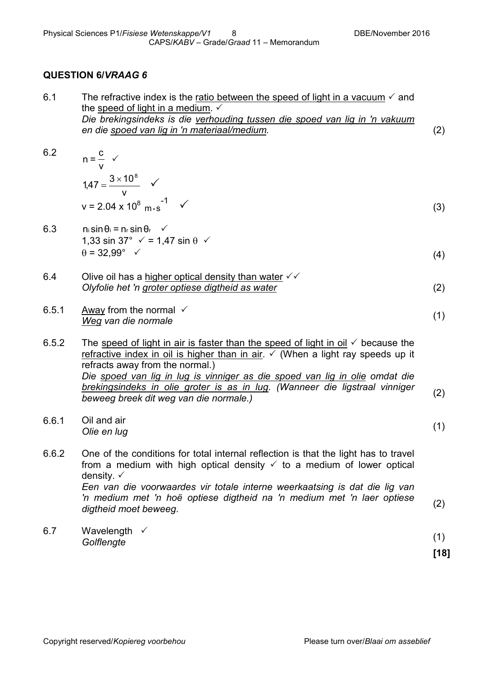## **QUESTION 6/***VRAAG 6*

| (2) |
|-----|
|     |

6.2

n = 
$$
\frac{c}{v}
$$
  
\n1,47 =  $\frac{3 \times 10^8}{v}$   
\nv = 2.04 x 10<sup>8</sup> m·s<sup>-1</sup> (3)

6.3 
$$
n_i \sin \theta_i = n_r \sin \theta_r
$$
   
 1,33 sin 37°  $\checkmark$  = 1,47 sin  $\theta$   $\checkmark$   
  $\theta = 32,99^\circ$   $\checkmark$  (4)

6.4 Olive oil has a higher optical density than water 
$$
√√
$$
 Olyfolie het 'n groter optiese digtheid as water\n
$$
(2)
$$

6.5.1 away from the normal 
$$
\checkmark
$$
  
Weg van die normale

6.5.2 The speed of light in air is faster than the speed of light in oil  $\checkmark$  because the refractive index in oil is higher than in air.  $\checkmark$  (When a light ray speeds up it refracts away from the normal.) *Die spoed van lig in lug is vinniger as die spoed van lig in olie omdat die brekingsindeks in olie groter is as in lug. (Wanneer die ligstraal vinniger beweeg breek dit weg van die normale.)* (2)

6.6.1 Oil and air *Olie en lug* (1)

- 6.6.2 One of the conditions for total internal reflection is that the light has to travel from a medium with high optical density  $\checkmark$  to a medium of lower optical density.  $\checkmark$ *Een van die voorwaardes vir totale interne weerkaatsing is dat die lig van 'n medium met 'n hoë optiese digtheid na 'n medium met 'n laer optiese digtheid moet beweeg.* (2) *digtheid moet beweeg.*
- 6.7 Wavelength  $\checkmark$ *Golflengte* (1)

**[18]**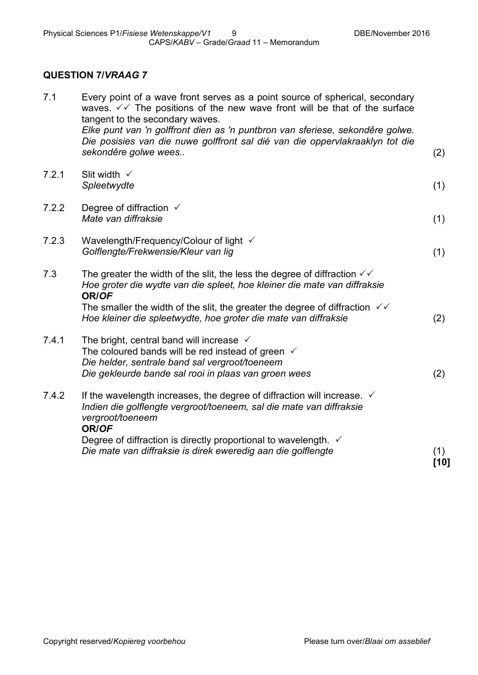# **QUESTION 7/***VRAAG 7*

| 7.1   | Every point of a wave front serves as a point source of spherical, secondary<br>waves. $\sqrt{2}$ The positions of the new wave front will be that of the surface<br>tangent to the secondary waves.<br>Elke punt van 'n golffront dien as 'n puntbron van sferiese, sekondêre golwe. |             |
|-------|---------------------------------------------------------------------------------------------------------------------------------------------------------------------------------------------------------------------------------------------------------------------------------------|-------------|
|       | Die posisies van die nuwe golffront sal dié van die oppervlakraaklyn tot die<br>sekondêre golwe wees                                                                                                                                                                                  | (2)         |
| 7.2.1 | Slit width $\checkmark$<br>Spleetwydte                                                                                                                                                                                                                                                | (1)         |
| 7.2.2 | Degree of diffraction $\checkmark$<br>Mate van diffraksie                                                                                                                                                                                                                             | (1)         |
| 7.2.3 | Wavelength/Frequency/Colour of light √<br>Golflengte/Frekwensie/Kleur van lig                                                                                                                                                                                                         | (1)         |
| 7.3   | The greater the width of the slit, the less the degree of diffraction $\checkmark\checkmark$<br>Hoe groter die wydte van die spleet, hoe kleiner die mate van diffraksie<br>OR/OF                                                                                                     |             |
|       | The smaller the width of the slit, the greater the degree of diffraction $\sqrt{6}$<br>Hoe kleiner die spleetwydte, hoe groter die mate van diffraksie                                                                                                                                | (2)         |
| 7.4.1 | The bright, central band will increase $\checkmark$<br>The coloured bands will be red instead of green $\checkmark$<br>Die helder, sentrale band sal vergroot/toeneem                                                                                                                 |             |
|       | Die gekleurde bande sal rooi in plaas van groen wees                                                                                                                                                                                                                                  | (2)         |
| 7.4.2 | If the wavelength increases, the degree of diffraction will increase. $\checkmark$<br>Indien die golflengte vergroot/toeneem, sal die mate van diffraksie<br>vergroot/toeneem<br>OR/OF                                                                                                |             |
|       | Degree of diffraction is directly proportional to wavelength. $\checkmark$<br>Die mate van diffraksie is direk eweredig aan die golflengte                                                                                                                                            | (1)<br>[10] |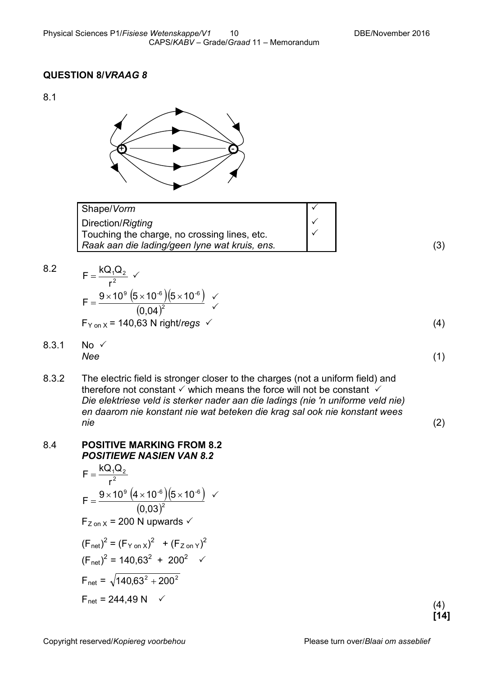#### **QUESTION 8/***VRAAG 8*

8.1



2

| Shape/Vorm                                    |  |
|-----------------------------------------------|--|
| Direction/Rigting                             |  |
| Touching the charge, no crossing lines, etc.  |  |
| Raak aan die lading/geen lyne wat kruis, ens. |  |

(3)

8.2 
$$
F = \frac{kQ_1Q_2}{r^2} \checkmark
$$

$$
F = \frac{9 \times 10^9 (5 \times 10^{-6})(5 \times 10^{-6})}{(9.84)^2}
$$

$$
F_{Y \text{ on } X} = 140,63 \text{ N right/regs}
$$
 (4)

$$
8.3.1 \quad \text{No} \quad \checkmark \tag{1}
$$

8.3.2 The electric field is stronger closer to the charges (not a uniform field) and therefore not constant  $\checkmark$  which means the force will not be constant  $\checkmark$ *Die elektriese veld is sterker nader aan die ladings (nie 'n uniforme veld nie) en daarom nie konstant nie wat beteken die krag sal ook nie konstant wees nie* (2)

 $\checkmark$ 

8.4 **POSITIVE MARKING FROM 8.2** *POSITIEWE NASIEN VAN 8.2*  $F = \frac{kQ_1Q_2}{2}$ 

$$
F = \frac{9 \times 10^{9} (4 \times 10^{-6}) (5 \times 10^{-6})}{(0.03)^{2}}
$$
  
F<sub>z on X</sub> = 200 N upwards √

$$
(\mathsf{F}_{\text{net}})^{2} = (\mathsf{F}_{\text{Y on X}})^{2} + (\mathsf{F}_{\text{Z on Y}})^{2}
$$
  
\n
$$
(\mathsf{F}_{\text{net}})^{2} = 140.63^{2} + 200^{2} \checkmark
$$
  
\n
$$
\mathsf{F}_{\text{net}} = \sqrt{140.63^{2} + 200^{2}}
$$
  
\n
$$
\mathsf{F}_{\text{net}} = 244.49 \text{ N} \checkmark
$$
  
\n(4)

**[14]**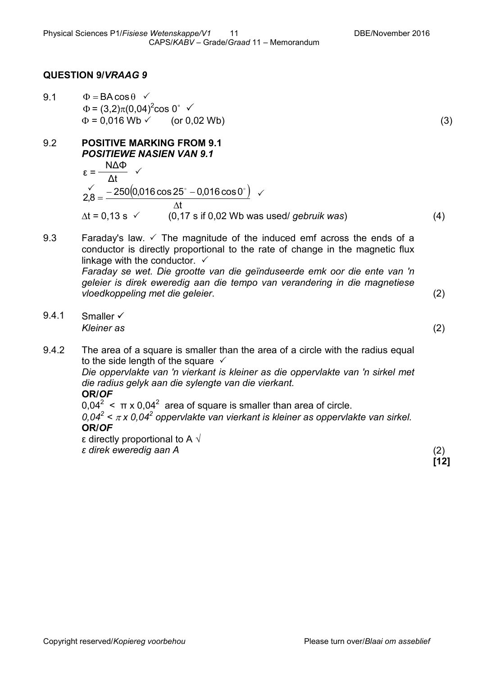#### **QUESTION 9/***VRAAG 9*

- 9.1  $\Phi = BA \cos \theta \sqrt{ }$  $\Phi = (3,2)\pi (0,04)^2 \cos 0^\circ$   $\checkmark$  $\Phi = 0.016 \text{ Wb} \checkmark$  (or 0.02 Wb) (3)
- 9.2 **POSITIVE MARKING FROM 9.1** *POSITIEWE NASIEN VAN 9.1* Δt NΔΦ  $\varepsilon = 2,8 = \frac{-250(0,016\cos 25^\circ - 0,016\cos 0^\circ)}{11}$ t ∆ ∆t = 0,13 s (0,17 s if 0,02 Wb was used/ *gebruik was*) (4)

9.3 Faraday's law.  $\checkmark$  The magnitude of the induced emf across the ends of a conductor is directly proportional to the rate of change in the magnetic flux linkage with the conductor.  $\checkmark$ *Faraday se wet. Die grootte van die geïnduseerde emk oor die ente van 'n geleier is direk eweredig aan die tempo van verandering in die magnetiese vloedkoppeling met die geleier*. (2)

9.4.1 Smaller  $\checkmark$ *Kleiner as* (2)

9.4.2 The area of a square is smaller than the area of a circle with the radius equal to the side length of the square  $\checkmark$ *Die oppervlakte van 'n vierkant is kleiner as die oppervlakte van 'n sirkel met die radius gelyk aan die sylengte van die vierkant.* **OR/***OF* 0,04<sup>2</sup>  $\lt$  π x 0,04<sup>2</sup> area of square is smaller than area of circle.  $0.04^2 < \pi$  x 0.04<sup>2</sup> oppervlakte van vierkant is kleiner as oppervlakte van sirkel. **OR/***OF*

ε directly proportional to A  $\sqrt{ }$ 

*ε direk eweredig aan A* (2)

**[12]**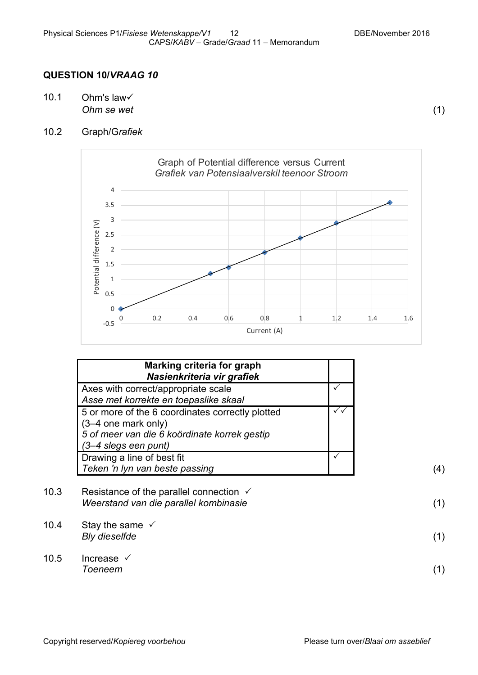#### **QUESTION 10/***VRAAG 10*

10.1 Ohm's law *Ohm se wet* (1)

10.2 Graph/G*rafiek*



| Marking criteria for graph<br>Nasienkriteria vir grafiek                                                                                        |  |
|-------------------------------------------------------------------------------------------------------------------------------------------------|--|
| Axes with correct/appropriate scale<br>Asse met korrekte en toepaslike skaal                                                                    |  |
| 5 or more of the 6 coordinates correctly plotted<br>(3-4 one mark only)<br>5 of meer van die 6 koördinate korrek gestip<br>(3-4 slegs een punt) |  |
| Drawing a line of best fit<br>Teken 'n lyn van beste passing                                                                                    |  |

10.3 Resistance of the parallel connection  $\checkmark$ *Weerstand van die parallel kombinasie* (1) 10.4 Stay the same  $\checkmark$ *Bly dieselfde* (1) 10.5 Increase *Toeneem* (1)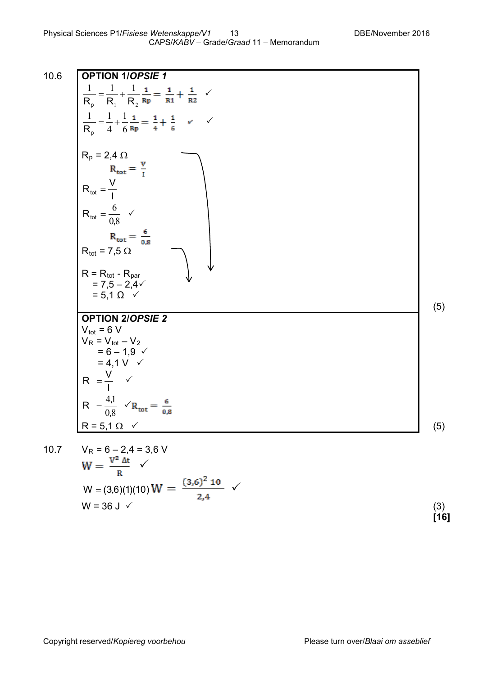٦.

10.6  
\n**OPTION** 1/OPSIE 1  
\n
$$
\frac{1}{R_p} = \frac{1}{R_1} + \frac{1}{R_2} \frac{1}{R_p} = \frac{1}{R_1} + \frac{1}{R_2}
$$
\n
$$
\frac{1}{R_p} = \frac{1}{4} + \frac{1}{6} \frac{1}{R_p} = \frac{1}{4} + \frac{1}{6}
$$
\n
$$
R_p = 2,4 \Omega
$$
\n
$$
R_{tot} = \frac{V}{I}
$$
\n
$$
R_{tot} = \frac{6}{0.8}
$$
\n
$$
R_{tot} = \frac{6}{0.8}
$$
\n
$$
R_{tot} = 7,5 \Omega
$$
\n
$$
R = R_{tot} - R_{par}
$$
\n
$$
= 7,5 - 2,4\sqrt{}
$$
\n
$$
= 5,1 \Omega
$$
\n
$$
V_{tot} = 6 \text{ V}
$$
\n
$$
V_{R} = V_{tot} - V_2
$$
\n
$$
= 6,10,4\sqrt{}
$$
\n
$$
R = \frac{V}{10} \text{ V}
$$
\n
$$
R = \frac{41}{10} \text{ V}
$$
\n
$$
R = \frac{41}{10} \text{ V}
$$
\n
$$
R = \frac{5}{10} \text{ V}
$$
\n
$$
R = \frac{1}{0.8} \text{ V}_{R_{tot}} = \frac{6}{0.8}
$$
\n
$$
R = 5,1 \Omega
$$
\n
$$
V_R = 6 - 2,4 = 3,6 \text{ V}
$$
\n
$$
W = \frac{V^2 \Delta t}{R} \text{ V}
$$
\n
$$
W = (3,6)(1)(10) \text{ W} = \frac{(3,6)^2 \text{ 10}}{2,4} \text{ V}
$$
\n
$$
W = 36 \text{ J}
$$
\n(3)